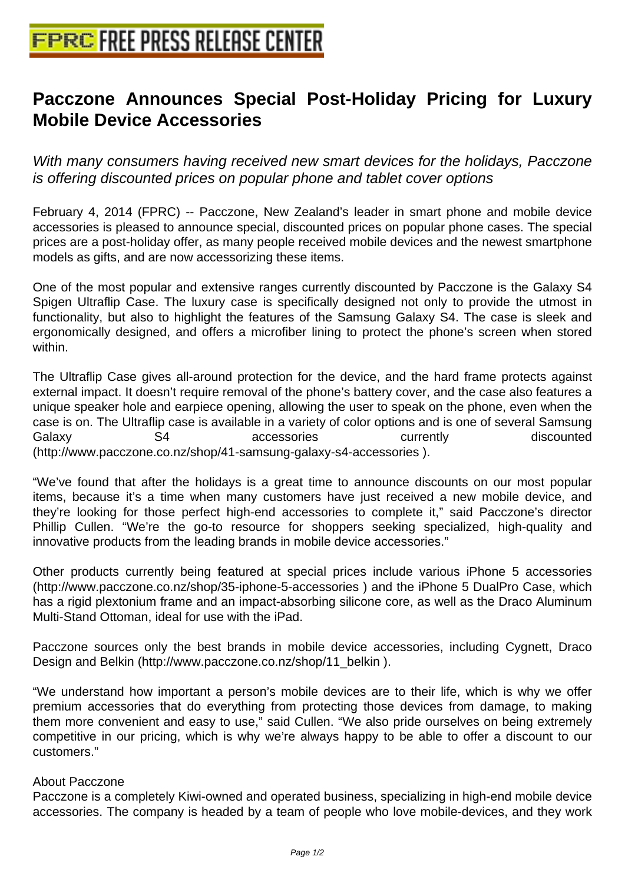## **[Pacczone Announces Special Po](http://www.free-press-release-center.info)st-Holiday Pricing for Luxury Mobile Device Accessories**

With many consumers having received new smart devices for the holidays, Pacczone is offering discounted prices on popular phone and tablet cover options

February 4, 2014 (FPRC) -- Pacczone, New Zealand's leader in smart phone and mobile device accessories is pleased to announce special, discounted prices on popular phone cases. The special prices are a post-holiday offer, as many people received mobile devices and the newest smartphone models as gifts, and are now accessorizing these items.

One of the most popular and extensive ranges currently discounted by Pacczone is the Galaxy S4 Spigen Ultraflip Case. The luxury case is specifically designed not only to provide the utmost in functionality, but also to highlight the features of the Samsung Galaxy S4. The case is sleek and ergonomically designed, and offers a microfiber lining to protect the phone's screen when stored within.

The Ultraflip Case gives all-around protection for the device, and the hard frame protects against external impact. It doesn't require removal of the phone's battery cover, and the case also features a unique speaker hole and earpiece opening, allowing the user to speak on the phone, even when the case is on. The Ultraflip case is available in a variety of color options and is one of several Samsung Galaxy 64 S4 corressories currently discounted (http://www.pacczone.co.nz/shop/41-samsung-galaxy-s4-accessories ).

"We've found that after the holidays is a great time to announce discounts on our most popular items, because it's a time when many customers have just received a new mobile device, and they're looking for those perfect high-end accessories to complete it," said Pacczone's director Phillip Cullen. "We're the go-to resource for shoppers seeking specialized, high-quality and innovative products from the leading brands in mobile device accessories."

Other products currently being featured at special prices include various iPhone 5 accessories (http://www.pacczone.co.nz/shop/35-iphone-5-accessories ) and the iPhone 5 DualPro Case, which has a rigid plextonium frame and an impact-absorbing silicone core, as well as the Draco Aluminum Multi-Stand Ottoman, ideal for use with the iPad.

Pacczone sources only the best brands in mobile device accessories, including Cygnett, Draco Design and Belkin (http://www.pacczone.co.nz/shop/11\_belkin ).

"We understand how important a person's mobile devices are to their life, which is why we offer premium accessories that do everything from protecting those devices from damage, to making them more convenient and easy to use," said Cullen. "We also pride ourselves on being extremely competitive in our pricing, which is why we're always happy to be able to offer a discount to our customers."

## About Pacczone

Pacczone is a completely Kiwi-owned and operated business, specializing in high-end mobile device accessories. The company is headed by a team of people who love mobile-devices, and they work